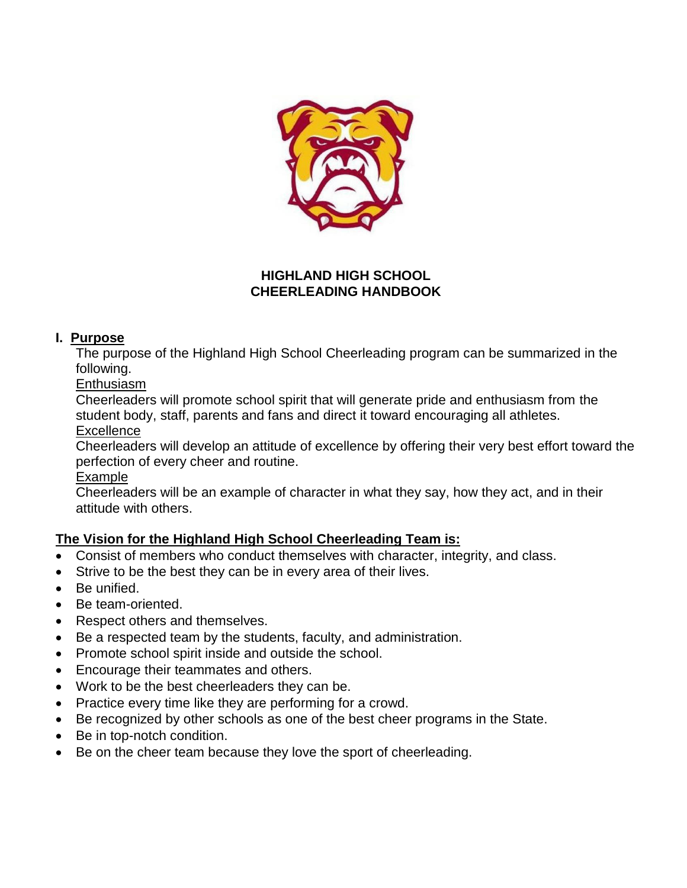

### **HIGHLAND HIGH SCHOOL CHEERLEADING HANDBOOK**

### **I. Purpose**

The purpose of the Highland High School Cheerleading program can be summarized in the following.

**Enthusiasm** 

Cheerleaders will promote school spirit that will generate pride and enthusiasm from the student body, staff, parents and fans and direct it toward encouraging all athletes.

**Excellence** 

Cheerleaders will develop an attitude of excellence by offering their very best effort toward the perfection of every cheer and routine.

Example

Cheerleaders will be an example of character in what they say, how they act, and in their attitude with others.

# **The Vision for the Highland High School Cheerleading Team is:**

- Consist of members who conduct themselves with character, integrity, and class.
- Strive to be the best they can be in every area of their lives.
- Be unified.
- Be team-oriented.
- Respect others and themselves.
- Be a respected team by the students, faculty, and administration.
- Promote school spirit inside and outside the school.
- Encourage their teammates and others.
- Work to be the best cheerleaders they can be.
- Practice every time like they are performing for a crowd.
- Be recognized by other schools as one of the best cheer programs in the State.
- Be in top-notch condition.
- Be on the cheer team because they love the sport of cheerleading.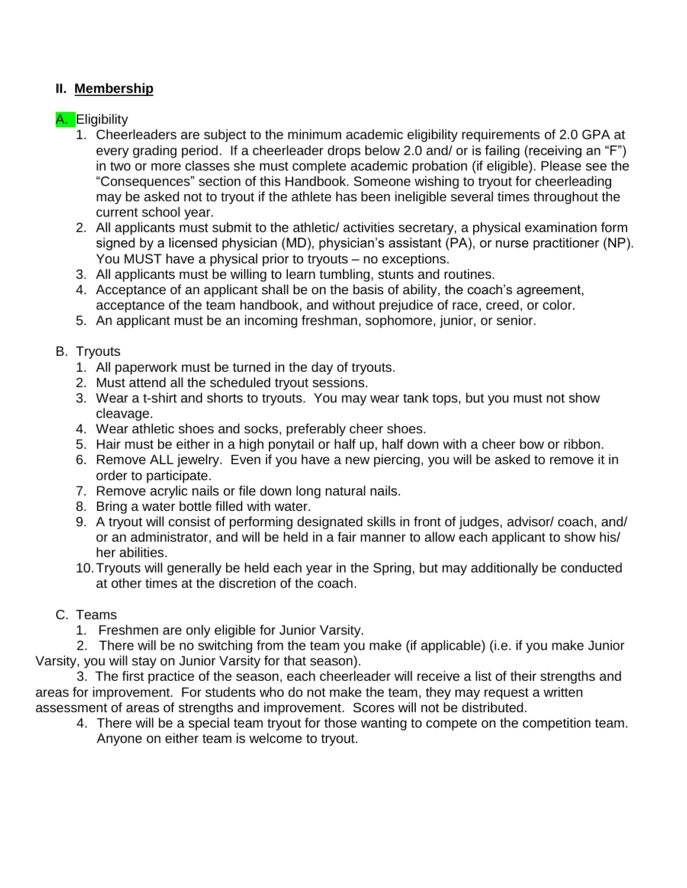## **II. Membership**

### A. Eligibility

- 1. Cheerleaders are subject to the minimum academic eligibility requirements of 2.0 GPA at every grading period. If a cheerleader drops below 2.0 and/ or is failing (receiving an "F") in two or more classes she must complete academic probation (if eligible). Please see the "Consequences" section of this Handbook. Someone wishing to tryout for cheerleading may be asked not to tryout if the athlete has been ineligible several times throughout the current school year.
- 2. All applicants must submit to the athletic/ activities secretary, a physical examination form signed by a licensed physician (MD), physician's assistant (PA), or nurse practitioner (NP). You MUST have a physical prior to tryouts – no exceptions.
- 3. All applicants must be willing to learn tumbling, stunts and routines.
- 4. Acceptance of an applicant shall be on the basis of ability, the coach's agreement, acceptance of the team handbook, and without prejudice of race, creed, or color.
- 5. An applicant must be an incoming freshman, sophomore, junior, or senior.

### B. Tryouts

- 1. All paperwork must be turned in the day of tryouts.
- 2. Must attend all the scheduled tryout sessions.
- 3. Wear a t-shirt and shorts to tryouts. You may wear tank tops, but you must not show cleavage.
- 4. Wear athletic shoes and socks, preferably cheer shoes.
- 5. Hair must be either in a high ponytail or half up, half down with a cheer bow or ribbon.
- 6. Remove ALL jewelry. Even if you have a new piercing, you will be asked to remove it in order to participate.
- 7. Remove acrylic nails or file down long natural nails.
- 8. Bring a water bottle filled with water.
- 9. A tryout will consist of performing designated skills in front of judges, advisor/ coach, and/ or an administrator, and will be held in a fair manner to allow each applicant to show his/ her abilities.
- 10.Tryouts will generally be held each year in the Spring, but may additionally be conducted at other times at the discretion of the coach.

### C. Teams

1. Freshmen are only eligible for Junior Varsity.

 2. There will be no switching from the team you make (if applicable) (i.e. if you make Junior Varsity, you will stay on Junior Varsity for that season).

 3. The first practice of the season, each cheerleader will receive a list of their strengths and areas for improvement. For students who do not make the team, they may request a written assessment of areas of strengths and improvement. Scores will not be distributed.

4. There will be a special team tryout for those wanting to compete on the competition team. Anyone on either team is welcome to tryout.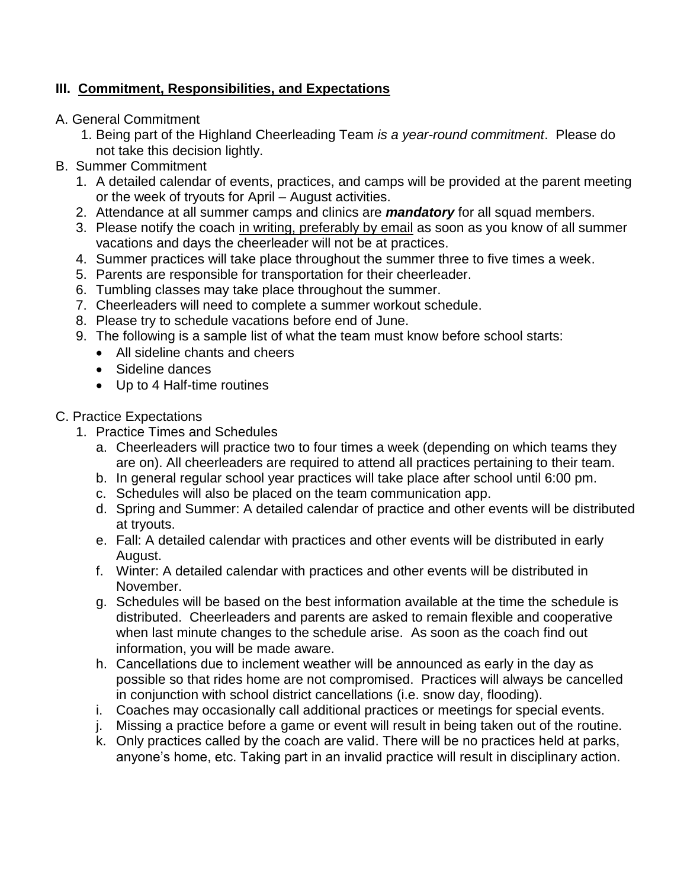# **III. Commitment, Responsibilities, and Expectations**

- A. General Commitment
	- 1. Being part of the Highland Cheerleading Team *is a year-round commitment*. Please do not take this decision lightly.
- B. Summer Commitment
	- 1. A detailed calendar of events, practices, and camps will be provided at the parent meeting or the week of tryouts for April – August activities.
	- 2. Attendance at all summer camps and clinics are *mandatory* for all squad members.
	- 3. Please notify the coach in writing, preferably by email as soon as you know of all summer vacations and days the cheerleader will not be at practices.
	- 4. Summer practices will take place throughout the summer three to five times a week.
	- 5. Parents are responsible for transportation for their cheerleader.
	- 6. Tumbling classes may take place throughout the summer.
	- 7. Cheerleaders will need to complete a summer workout schedule.
	- 8. Please try to schedule vacations before end of June.
	- 9. The following is a sample list of what the team must know before school starts:
		- All sideline chants and cheers
		- Sideline dances
		- Up to 4 Half-time routines
- C. Practice Expectations
	- 1. Practice Times and Schedules
		- a. Cheerleaders will practice two to four times a week (depending on which teams they are on). All cheerleaders are required to attend all practices pertaining to their team.
		- b. In general regular school year practices will take place after school until 6:00 pm.
		- c. Schedules will also be placed on the team communication app.
		- d. Spring and Summer: A detailed calendar of practice and other events will be distributed at tryouts.
		- e. Fall: A detailed calendar with practices and other events will be distributed in early August.
		- f. Winter: A detailed calendar with practices and other events will be distributed in November.
		- g. Schedules will be based on the best information available at the time the schedule is distributed. Cheerleaders and parents are asked to remain flexible and cooperative when last minute changes to the schedule arise. As soon as the coach find out information, you will be made aware.
		- h. Cancellations due to inclement weather will be announced as early in the day as possible so that rides home are not compromised. Practices will always be cancelled in conjunction with school district cancellations (i.e. snow day, flooding).
		- i. Coaches may occasionally call additional practices or meetings for special events.
		- j. Missing a practice before a game or event will result in being taken out of the routine.
		- k. Only practices called by the coach are valid. There will be no practices held at parks, anyone's home, etc. Taking part in an invalid practice will result in disciplinary action.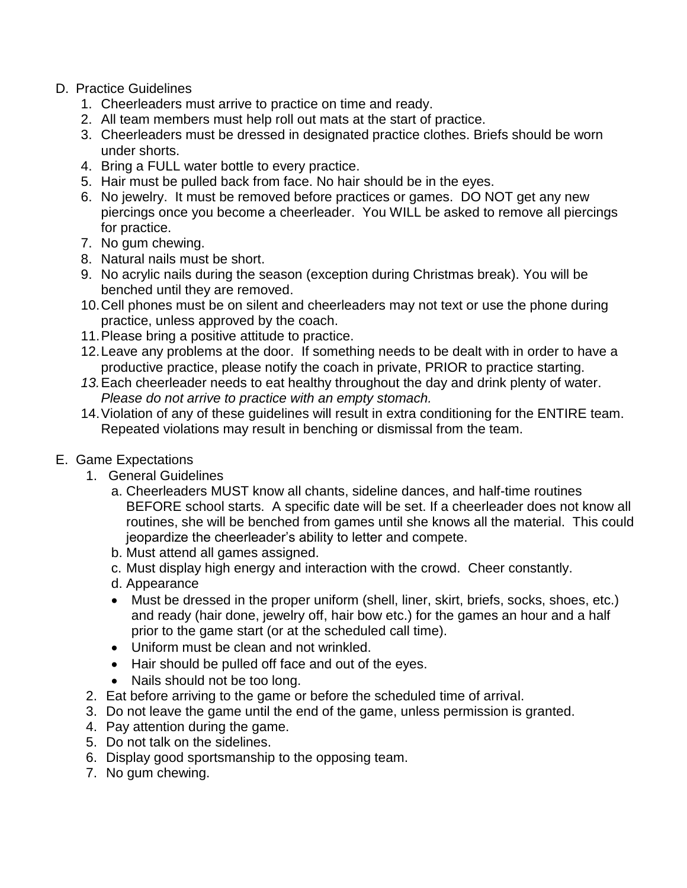- D. Practice Guidelines
	- 1. Cheerleaders must arrive to practice on time and ready.
	- 2. All team members must help roll out mats at the start of practice.
	- 3. Cheerleaders must be dressed in designated practice clothes. Briefs should be worn under shorts.
	- 4. Bring a FULL water bottle to every practice.
	- 5. Hair must be pulled back from face. No hair should be in the eyes.
	- 6. No jewelry. It must be removed before practices or games. DO NOT get any new piercings once you become a cheerleader. You WILL be asked to remove all piercings for practice.
	- 7. No gum chewing.
	- 8. Natural nails must be short.
	- 9. No acrylic nails during the season (exception during Christmas break). You will be benched until they are removed.
	- 10.Cell phones must be on silent and cheerleaders may not text or use the phone during practice, unless approved by the coach.
	- 11.Please bring a positive attitude to practice.
	- 12.Leave any problems at the door. If something needs to be dealt with in order to have a productive practice, please notify the coach in private, PRIOR to practice starting.
	- *13.*Each cheerleader needs to eat healthy throughout the day and drink plenty of water. *Please do not arrive to practice with an empty stomach.*
	- 14.Violation of any of these guidelines will result in extra conditioning for the ENTIRE team. Repeated violations may result in benching or dismissal from the team.
- E. Game Expectations
	- 1. General Guidelines
		- a. Cheerleaders MUST know all chants, sideline dances, and half-time routines BEFORE school starts. A specific date will be set. If a cheerleader does not know all routines, she will be benched from games until she knows all the material. This could jeopardize the cheerleader's ability to letter and compete.
		- b. Must attend all games assigned.
		- c. Must display high energy and interaction with the crowd. Cheer constantly.
		- d. Appearance
		- Must be dressed in the proper uniform (shell, liner, skirt, briefs, socks, shoes, etc.) and ready (hair done, jewelry off, hair bow etc.) for the games an hour and a half prior to the game start (or at the scheduled call time).
		- Uniform must be clean and not wrinkled.
		- Hair should be pulled off face and out of the eyes.
		- Nails should not be too long.
	- 2. Eat before arriving to the game or before the scheduled time of arrival.
	- 3. Do not leave the game until the end of the game, unless permission is granted.
	- 4. Pay attention during the game.
	- 5. Do not talk on the sidelines.
	- 6. Display good sportsmanship to the opposing team.
	- 7. No gum chewing.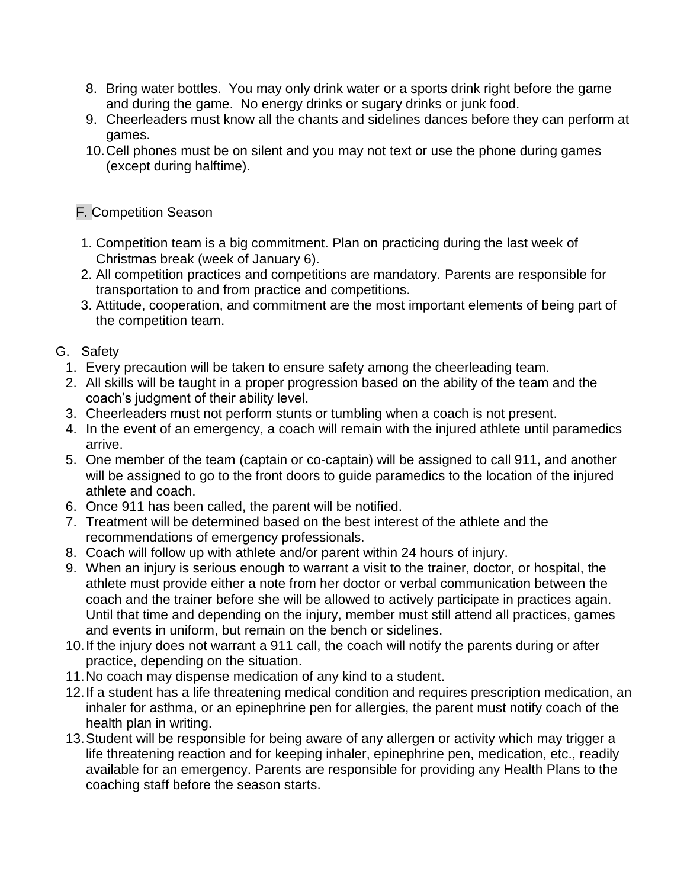- 8. Bring water bottles. You may only drink water or a sports drink right before the game and during the game. No energy drinks or sugary drinks or junk food.
- 9. Cheerleaders must know all the chants and sidelines dances before they can perform at games.
- 10.Cell phones must be on silent and you may not text or use the phone during games (except during halftime).

## F. Competition Season

- 1. Competition team is a big commitment. Plan on practicing during the last week of Christmas break (week of January 6).
- 2. All competition practices and competitions are mandatory. Parents are responsible for transportation to and from practice and competitions.
- 3. Attitude, cooperation, and commitment are the most important elements of being part of the competition team.

# G. Safety

- 1. Every precaution will be taken to ensure safety among the cheerleading team.
- 2. All skills will be taught in a proper progression based on the ability of the team and the coach's judgment of their ability level.
- 3. Cheerleaders must not perform stunts or tumbling when a coach is not present.
- 4. In the event of an emergency, a coach will remain with the injured athlete until paramedics arrive.
- 5. One member of the team (captain or co-captain) will be assigned to call 911, and another will be assigned to go to the front doors to guide paramedics to the location of the injured athlete and coach.
- 6. Once 911 has been called, the parent will be notified.
- 7. Treatment will be determined based on the best interest of the athlete and the recommendations of emergency professionals.
- 8. Coach will follow up with athlete and/or parent within 24 hours of injury.
- 9. When an injury is serious enough to warrant a visit to the trainer, doctor, or hospital, the athlete must provide either a note from her doctor or verbal communication between the coach and the trainer before she will be allowed to actively participate in practices again. Until that time and depending on the injury, member must still attend all practices, games and events in uniform, but remain on the bench or sidelines.
- 10.If the injury does not warrant a 911 call, the coach will notify the parents during or after practice, depending on the situation.
- 11.No coach may dispense medication of any kind to a student.
- 12.If a student has a life threatening medical condition and requires prescription medication, an inhaler for asthma, or an epinephrine pen for allergies, the parent must notify coach of the health plan in writing.
- 13.Student will be responsible for being aware of any allergen or activity which may trigger a life threatening reaction and for keeping inhaler, epinephrine pen, medication, etc., readily available for an emergency. Parents are responsible for providing any Health Plans to the coaching staff before the season starts.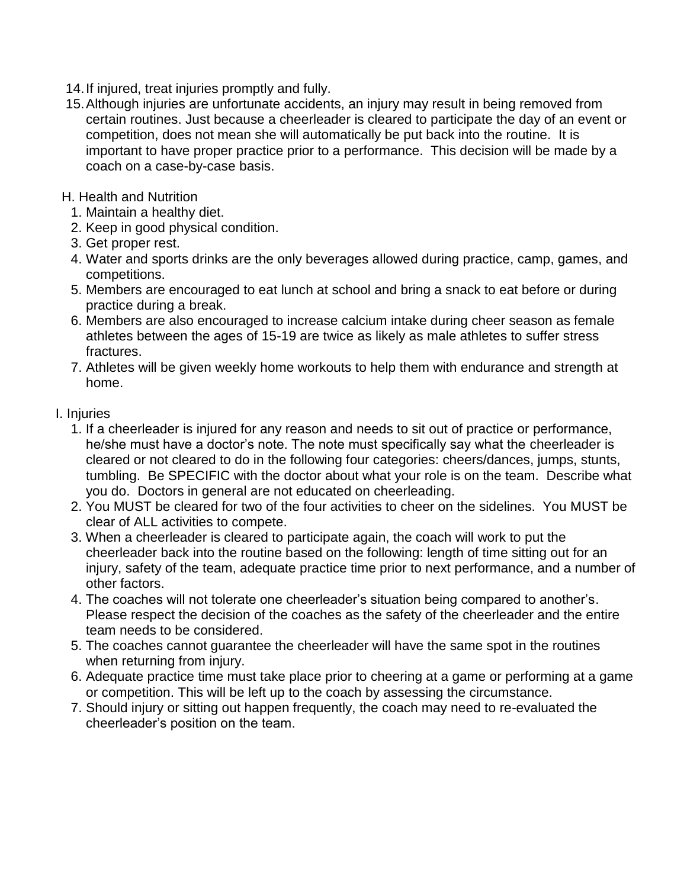- 14.If injured, treat injuries promptly and fully.
- 15.Although injuries are unfortunate accidents, an injury may result in being removed from certain routines. Just because a cheerleader is cleared to participate the day of an event or competition, does not mean she will automatically be put back into the routine. It is important to have proper practice prior to a performance. This decision will be made by a coach on a case-by-case basis.
- H. Health and Nutrition
	- 1. Maintain a healthy diet.
	- 2. Keep in good physical condition.
	- 3. Get proper rest.
	- 4. Water and sports drinks are the only beverages allowed during practice, camp, games, and competitions.
	- 5. Members are encouraged to eat lunch at school and bring a snack to eat before or during practice during a break.
	- 6. Members are also encouraged to increase calcium intake during cheer season as female athletes between the ages of 15-19 are twice as likely as male athletes to suffer stress fractures.
	- 7. Athletes will be given weekly home workouts to help them with endurance and strength at home.
- I. Injuries
	- 1. If a cheerleader is injured for any reason and needs to sit out of practice or performance, he/she must have a doctor's note. The note must specifically say what the cheerleader is cleared or not cleared to do in the following four categories: cheers/dances, jumps, stunts, tumbling. Be SPECIFIC with the doctor about what your role is on the team. Describe what you do. Doctors in general are not educated on cheerleading.
	- 2. You MUST be cleared for two of the four activities to cheer on the sidelines. You MUST be clear of ALL activities to compete.
	- 3. When a cheerleader is cleared to participate again, the coach will work to put the cheerleader back into the routine based on the following: length of time sitting out for an injury, safety of the team, adequate practice time prior to next performance, and a number of other factors.
	- 4. The coaches will not tolerate one cheerleader's situation being compared to another's. Please respect the decision of the coaches as the safety of the cheerleader and the entire team needs to be considered.
	- 5. The coaches cannot guarantee the cheerleader will have the same spot in the routines when returning from injury.
	- 6. Adequate practice time must take place prior to cheering at a game or performing at a game or competition. This will be left up to the coach by assessing the circumstance.
	- 7. Should injury or sitting out happen frequently, the coach may need to re-evaluated the cheerleader's position on the team.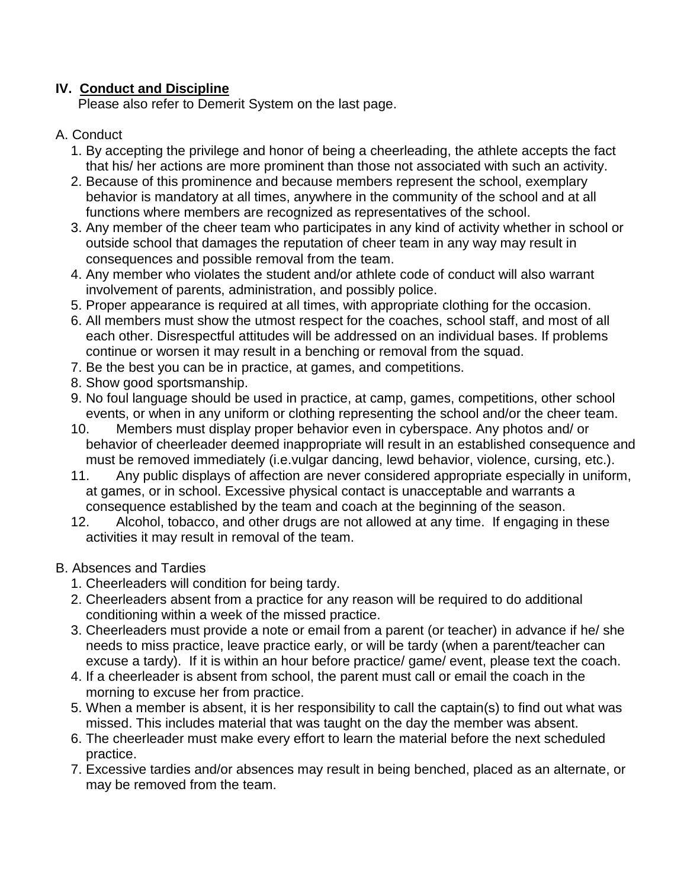## **IV. Conduct and Discipline**

Please also refer to Demerit System on the last page.

#### A. Conduct

- 1. By accepting the privilege and honor of being a cheerleading, the athlete accepts the fact that his/ her actions are more prominent than those not associated with such an activity.
- 2. Because of this prominence and because members represent the school, exemplary behavior is mandatory at all times, anywhere in the community of the school and at all functions where members are recognized as representatives of the school.
- 3. Any member of the cheer team who participates in any kind of activity whether in school or outside school that damages the reputation of cheer team in any way may result in consequences and possible removal from the team.
- 4. Any member who violates the student and/or athlete code of conduct will also warrant involvement of parents, administration, and possibly police.
- 5. Proper appearance is required at all times, with appropriate clothing for the occasion.
- 6. All members must show the utmost respect for the coaches, school staff, and most of all each other. Disrespectful attitudes will be addressed on an individual bases. If problems continue or worsen it may result in a benching or removal from the squad.
- 7. Be the best you can be in practice, at games, and competitions.
- 8. Show good sportsmanship.
- 9. No foul language should be used in practice, at camp, games, competitions, other school events, or when in any uniform or clothing representing the school and/or the cheer team.
- 10. Members must display proper behavior even in cyberspace. Any photos and/ or behavior of cheerleader deemed inappropriate will result in an established consequence and must be removed immediately (i.e.vulgar dancing, lewd behavior, violence, cursing, etc.).
- 11. Any public displays of affection are never considered appropriate especially in uniform, at games, or in school. Excessive physical contact is unacceptable and warrants a consequence established by the team and coach at the beginning of the season.
- 12. Alcohol, tobacco, and other drugs are not allowed at any time. If engaging in these activities it may result in removal of the team.

### B. Absences and Tardies

- 1. Cheerleaders will condition for being tardy.
- 2. Cheerleaders absent from a practice for any reason will be required to do additional conditioning within a week of the missed practice.
- 3. Cheerleaders must provide a note or email from a parent (or teacher) in advance if he/ she needs to miss practice, leave practice early, or will be tardy (when a parent/teacher can excuse a tardy). If it is within an hour before practice/ game/ event, please text the coach.
- 4. If a cheerleader is absent from school, the parent must call or email the coach in the morning to excuse her from practice.
- 5. When a member is absent, it is her responsibility to call the captain(s) to find out what was missed. This includes material that was taught on the day the member was absent.
- 6. The cheerleader must make every effort to learn the material before the next scheduled practice.
- 7. Excessive tardies and/or absences may result in being benched, placed as an alternate, or may be removed from the team.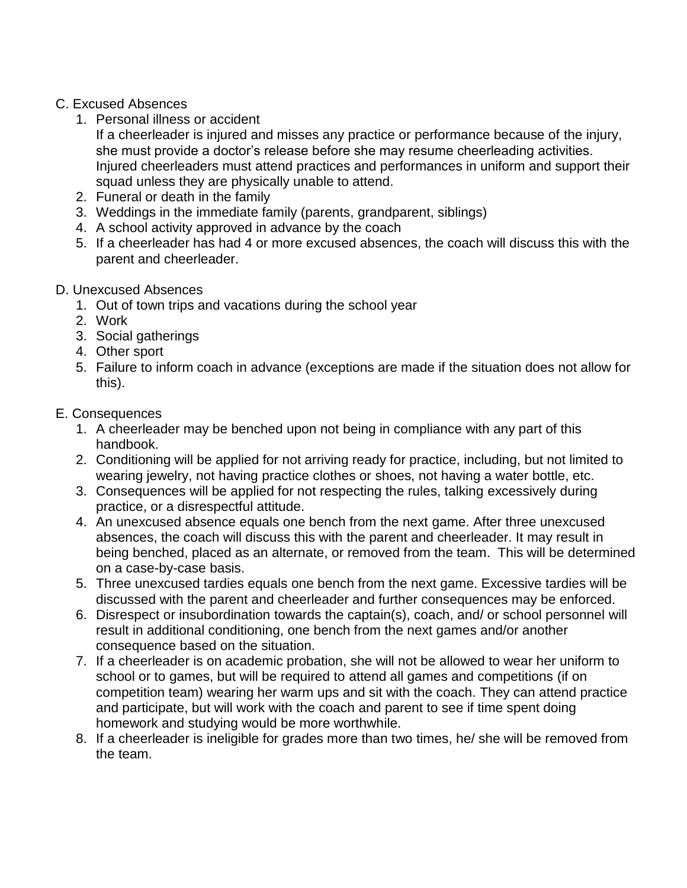### C. Excused Absences

1. Personal illness or accident

If a cheerleader is injured and misses any practice or performance because of the injury, she must provide a doctor's release before she may resume cheerleading activities. Injured cheerleaders must attend practices and performances in uniform and support their squad unless they are physically unable to attend.

- 2. Funeral or death in the family
- 3. Weddings in the immediate family (parents, grandparent, siblings)
- 4. A school activity approved in advance by the coach
- 5. If a cheerleader has had 4 or more excused absences, the coach will discuss this with the parent and cheerleader.

## D. Unexcused Absences

- 1. Out of town trips and vacations during the school year
- 2. Work
- 3. Social gatherings
- 4. Other sport
- 5. Failure to inform coach in advance (exceptions are made if the situation does not allow for this).

## E. Consequences

- 1. A cheerleader may be benched upon not being in compliance with any part of this handbook.
- 2. Conditioning will be applied for not arriving ready for practice, including, but not limited to wearing jewelry, not having practice clothes or shoes, not having a water bottle, etc.
- 3. Consequences will be applied for not respecting the rules, talking excessively during practice, or a disrespectful attitude.
- 4. An unexcused absence equals one bench from the next game. After three unexcused absences, the coach will discuss this with the parent and cheerleader. It may result in being benched, placed as an alternate, or removed from the team. This will be determined on a case-by-case basis.
- 5. Three unexcused tardies equals one bench from the next game. Excessive tardies will be discussed with the parent and cheerleader and further consequences may be enforced.
- 6. Disrespect or insubordination towards the captain(s), coach, and/ or school personnel will result in additional conditioning, one bench from the next games and/or another consequence based on the situation.
- 7. If a cheerleader is on academic probation, she will not be allowed to wear her uniform to school or to games, but will be required to attend all games and competitions (if on competition team) wearing her warm ups and sit with the coach. They can attend practice and participate, but will work with the coach and parent to see if time spent doing homework and studying would be more worthwhile.
- 8. If a cheerleader is ineligible for grades more than two times, he/ she will be removed from the team.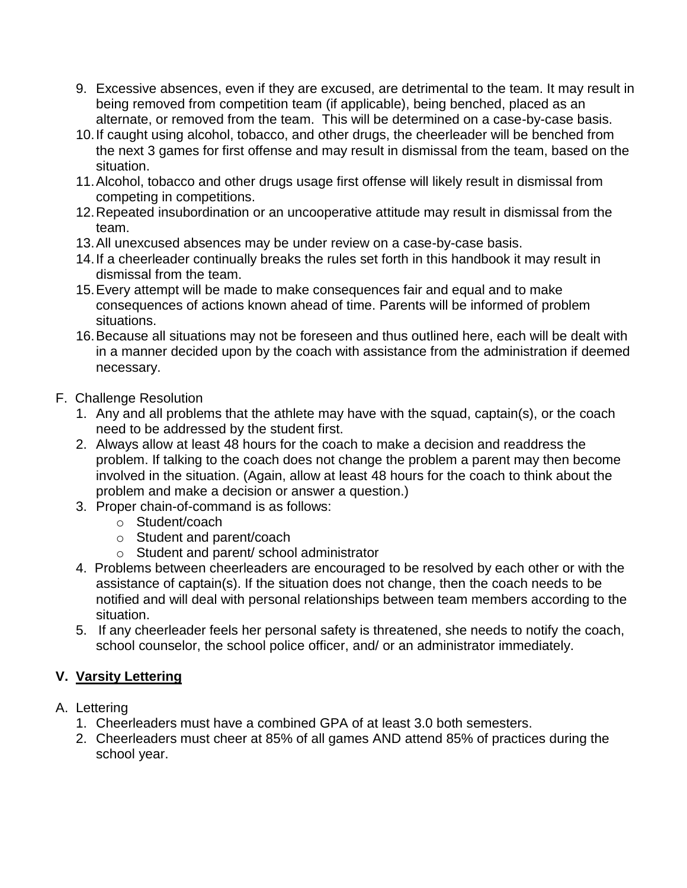- 9. Excessive absences, even if they are excused, are detrimental to the team. It may result in being removed from competition team (if applicable), being benched, placed as an alternate, or removed from the team. This will be determined on a case-by-case basis.
- 10.If caught using alcohol, tobacco, and other drugs, the cheerleader will be benched from the next 3 games for first offense and may result in dismissal from the team, based on the situation.
- 11.Alcohol, tobacco and other drugs usage first offense will likely result in dismissal from competing in competitions.
- 12.Repeated insubordination or an uncooperative attitude may result in dismissal from the team.
- 13.All unexcused absences may be under review on a case-by-case basis.
- 14.If a cheerleader continually breaks the rules set forth in this handbook it may result in dismissal from the team.
- 15.Every attempt will be made to make consequences fair and equal and to make consequences of actions known ahead of time. Parents will be informed of problem situations.
- 16.Because all situations may not be foreseen and thus outlined here, each will be dealt with in a manner decided upon by the coach with assistance from the administration if deemed necessary.
- F. Challenge Resolution
	- 1. Any and all problems that the athlete may have with the squad, captain(s), or the coach need to be addressed by the student first.
	- 2. Always allow at least 48 hours for the coach to make a decision and readdress the problem. If talking to the coach does not change the problem a parent may then become involved in the situation. (Again, allow at least 48 hours for the coach to think about the problem and make a decision or answer a question.)
	- 3. Proper chain-of-command is as follows:
		- o Student/coach
		- o Student and parent/coach
		- o Student and parent/ school administrator
	- 4.Problems between cheerleaders are encouraged to be resolved by each other or with the assistance of captain(s). If the situation does not change, then the coach needs to be notified and will deal with personal relationships between team members according to the situation.
	- 5. If any cheerleader feels her personal safety is threatened, she needs to notify the coach, school counselor, the school police officer, and/ or an administrator immediately.

# **V. Varsity Lettering**

- A. Lettering
	- 1. Cheerleaders must have a combined GPA of at least 3.0 both semesters.
	- 2. Cheerleaders must cheer at 85% of all games AND attend 85% of practices during the school year.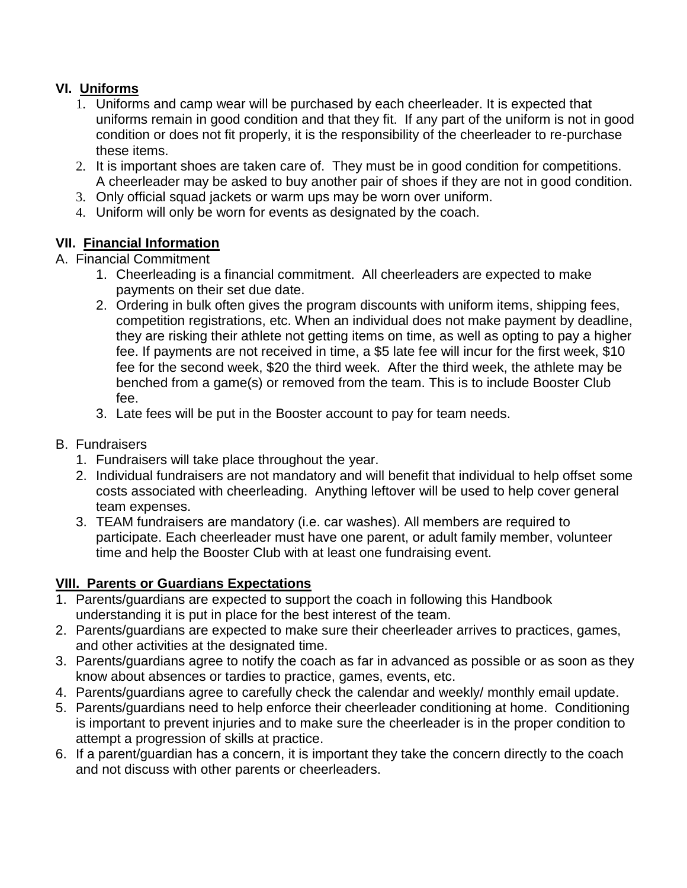# **VI. Uniforms**

- 1. Uniforms and camp wear will be purchased by each cheerleader. It is expected that uniforms remain in good condition and that they fit. If any part of the uniform is not in good condition or does not fit properly, it is the responsibility of the cheerleader to re-purchase these items.
- 2. It is important shoes are taken care of. They must be in good condition for competitions. A cheerleader may be asked to buy another pair of shoes if they are not in good condition.
- 3. Only official squad jackets or warm ups may be worn over uniform.
- 4. Uniform will only be worn for events as designated by the coach.

# **VII. Financial Information**

## A. Financial Commitment

- 1. Cheerleading is a financial commitment. All cheerleaders are expected to make payments on their set due date.
- 2. Ordering in bulk often gives the program discounts with uniform items, shipping fees, competition registrations, etc. When an individual does not make payment by deadline, they are risking their athlete not getting items on time, as well as opting to pay a higher fee. If payments are not received in time, a \$5 late fee will incur for the first week, \$10 fee for the second week, \$20 the third week. After the third week, the athlete may be benched from a game(s) or removed from the team. This is to include Booster Club fee.
- 3. Late fees will be put in the Booster account to pay for team needs.
- B. Fundraisers
	- 1. Fundraisers will take place throughout the year.
	- 2. Individual fundraisers are not mandatory and will benefit that individual to help offset some costs associated with cheerleading. Anything leftover will be used to help cover general team expenses.
	- 3. TEAM fundraisers are mandatory (i.e. car washes). All members are required to participate. Each cheerleader must have one parent, or adult family member, volunteer time and help the Booster Club with at least one fundraising event.

### **VIII. Parents or Guardians Expectations**

- 1. Parents/guardians are expected to support the coach in following this Handbook understanding it is put in place for the best interest of the team.
- 2. Parents/guardians are expected to make sure their cheerleader arrives to practices, games, and other activities at the designated time.
- 3. Parents/guardians agree to notify the coach as far in advanced as possible or as soon as they know about absences or tardies to practice, games, events, etc.
- 4. Parents/guardians agree to carefully check the calendar and weekly/ monthly email update.
- 5. Parents/guardians need to help enforce their cheerleader conditioning at home. Conditioning is important to prevent injuries and to make sure the cheerleader is in the proper condition to attempt a progression of skills at practice.
- 6. If a parent/guardian has a concern, it is important they take the concern directly to the coach and not discuss with other parents or cheerleaders.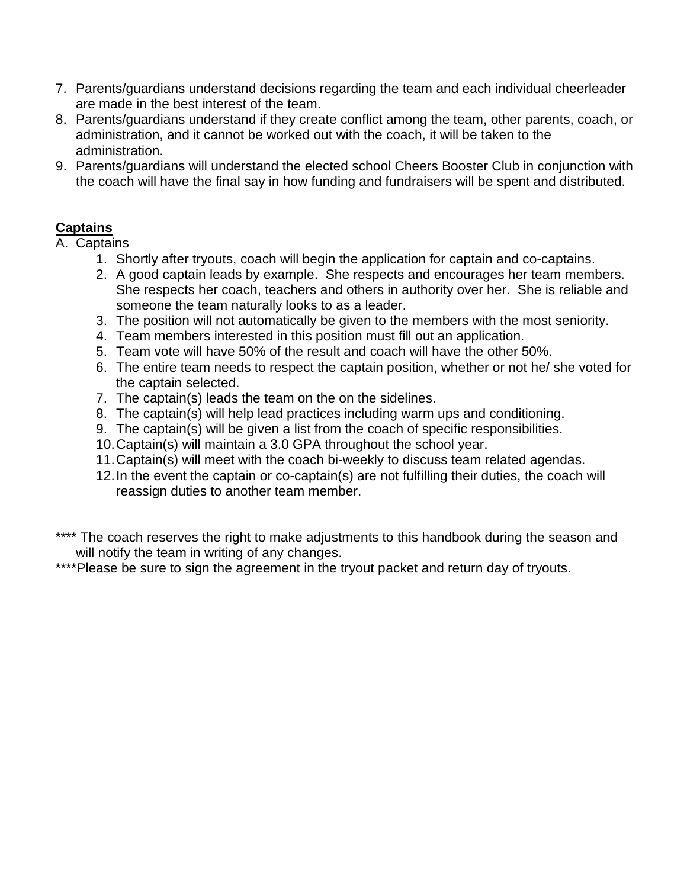- 7. Parents/guardians understand decisions regarding the team and each individual cheerleader are made in the best interest of the team.
- 8. Parents/guardians understand if they create conflict among the team, other parents, coach, or administration, and it cannot be worked out with the coach, it will be taken to the administration.
- 9. Parents/guardians will understand the elected school Cheers Booster Club in conjunction with the coach will have the final say in how funding and fundraisers will be spent and distributed.

# **Captains**

A. Captains

- 1. Shortly after tryouts, coach will begin the application for captain and co-captains.
- 2. A good captain leads by example. She respects and encourages her team members. She respects her coach, teachers and others in authority over her. She is reliable and someone the team naturally looks to as a leader.
- 3. The position will not automatically be given to the members with the most seniority.
- 4. Team members interested in this position must fill out an application.
- 5. Team vote will have 50% of the result and coach will have the other 50%.
- 6. The entire team needs to respect the captain position, whether or not he/ she voted for the captain selected.
- 7. The captain(s) leads the team on the on the sidelines.
- 8. The captain(s) will help lead practices including warm ups and conditioning.
- 9. The captain(s) will be given a list from the coach of specific responsibilities.
- 10.Captain(s) will maintain a 3.0 GPA throughout the school year.
- 11.Captain(s) will meet with the coach bi-weekly to discuss team related agendas.
- 12.In the event the captain or co-captain(s) are not fulfilling their duties, the coach will reassign duties to another team member.
- \*\*\*\* The coach reserves the right to make adjustments to this handbook during the season and will notify the team in writing of any changes.
- \*\*\*\*Please be sure to sign the agreement in the tryout packet and return day of tryouts.